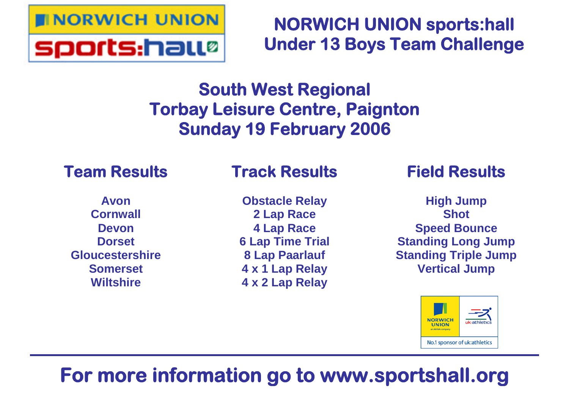

# **NORWICH UNION sports:hall Under 13 Boys Team Challenge**

# **South West Regional Torbay Leisure Centre, Paignton Sunday 19 February 2006**

# **Team Results**

# **Track Results**

**Avon Cornwall Devon Dorset Gloucestershire Somerset Wiltshire**

**Obstacle Relay 2 Lap Race 4 Lap Race 6 Lap Time Trial 8 Lap Paarlauf 4 x 1 Lap Relay 4 x 2 Lap Relay**

# **Field Results**

**High Jump Shot Speed Bounce Standing Long Jump Standing Triple Jump Vertical Jump**



# **For more information go to www.sportshall.org**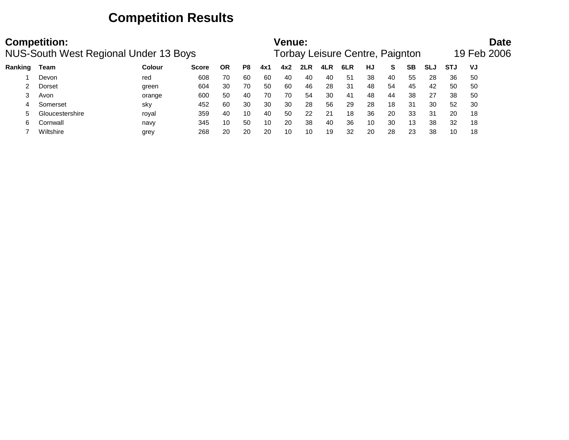## **Competition Results**

|         | <b>Competition:</b><br><b>NUS-South West Regional Under 13 Boys</b> |               |              |           | <b>Venue:</b> |     |     | Torbay Leisure Centre, Paignton |     |     |    |    |    | <b>Date</b><br>19 Feb 2006 |            |    |  |
|---------|---------------------------------------------------------------------|---------------|--------------|-----------|---------------|-----|-----|---------------------------------|-----|-----|----|----|----|----------------------------|------------|----|--|
| Ranking | Team                                                                | <b>Colour</b> | <b>Score</b> | <b>OR</b> | P8            | 4x1 | 4x2 | 2LR                             | 4LR | 6LR | HJ | S. | SВ | <b>SLJ</b>                 | <b>STJ</b> | VJ |  |
|         | Devon                                                               | red           | 608          | 70        | 60            | 60  | 40  | 40                              | 40  | -51 | 38 | 40 | 55 | 28                         | 36         | 50 |  |
|         | Dorset                                                              | green         | 604          | 30        | 70            | 50  | 60  | 46                              | 28  | 31  | 48 | 54 | 45 | 42                         | 50         | 50 |  |
|         | Avon                                                                | orange        | 600          | 50        | 40            | 70  | 70  | 54                              | 30  | 41  | 48 | 44 | 38 | 27                         | 38         | 50 |  |
|         | Somerset                                                            | sky           | 452          | 60        | 30            | 30  | 30  | 28                              | 56  | 29  | 28 | 18 | 31 | 30                         | 52         | 30 |  |
|         | Gloucestershire                                                     | roval         | 359          | 40        | 10            | 40  | 50  | 22                              | 21  | 18  | 36 | 20 | 33 | 31                         | 20         | 18 |  |
| 6       | Cornwall                                                            | navy          | 345          | 10        | 50            | 10  | 20  | 38                              | 40  | 36  | 10 | 30 | 13 | 38                         | 32         | 18 |  |
|         | Wiltshire                                                           | grey          | 268          | 20        | 20            | 20  | 10  | 10                              | 19  | 32  | 20 | 28 | 23 | 38                         | 10         | 18 |  |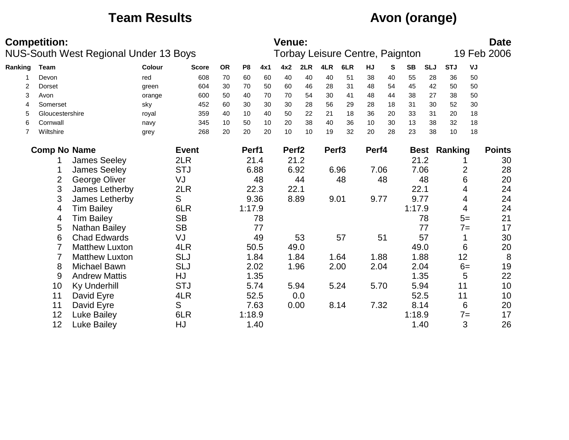# **Team Results Avon (orange)**

|         |                                   | <b>Competition:</b> | <b>NUS-South West Regional Under 13 Boys</b> |        |              |           |                |      | <b>Venue:</b>     |      |                   | Torbay Leisure Centre, Paignton |        |    |           |            |                     |       | <b>Date</b><br>19 Feb 2006 |
|---------|-----------------------------------|---------------------|----------------------------------------------|--------|--------------|-----------|----------------|------|-------------------|------|-------------------|---------------------------------|--------|----|-----------|------------|---------------------|-------|----------------------------|
|         |                                   |                     |                                              |        |              |           |                |      |                   |      |                   |                                 |        |    |           |            |                     |       |                            |
| Ranking |                                   | Team                |                                              | Colour | <b>Score</b> | <b>OR</b> | P <sub>8</sub> | 4x1  | 4x2               | 2LR  | 4LR               | 6LR                             | HJ     | S  | <b>SB</b> | <b>SLJ</b> | <b>STJ</b>          | VJ    |                            |
|         |                                   | Devon               |                                              | red    | 608          | 70        | 60             | 60   | 40                | 40   | 40                | 51                              | 38     | 40 | 55        | 28         | 36                  | 50    |                            |
|         | 2                                 | Dorset              |                                              | green  | 604          | 30        | 70             | 50   | 60                | 46   | 28                | 31                              | 48     | 54 | 45        | 42         | 50                  | 50    |                            |
|         | 3                                 | Avon                |                                              | orange | 600          | 50        | 40             | 70   | 70                | 54   | 30                | 41                              | 48     | 44 | 38        | 27         | 38                  | 50    |                            |
|         | 4                                 | Somerset            |                                              | sky    | 452          | 60        | 30             | 30   | 30                | 28   | 56                | 29                              | 28     | 18 | 31        | 30         | 52                  | 30    |                            |
|         | 5                                 | Gloucestershire     |                                              | royal  | 359          | 40        | 10             | 40   | 50                | 22   | 21                | 18                              | 36     | 20 | 33        | 31         | 20                  | 18    |                            |
|         | 6                                 | Cornwall            |                                              | navy   | 345          | 10        | 50             | 10   | 20                | 38   | 40                | 36                              | 10     | 30 | 13        | 38         | 32                  | 18    |                            |
|         | 7                                 | Wiltshire           |                                              | grey   | 268          | 20        | 20             | 20   | 10                | 10   | 19                | 32                              | 20     | 28 | 23        | 38         | 10                  | 18    |                            |
|         |                                   | <b>Comp No Name</b> |                                              |        | <b>Event</b> |           | Perf1          |      | Perf <sub>2</sub> |      | Perf <sub>3</sub> |                                 | Perf4  |    |           |            | <b>Best Ranking</b> |       | <b>Points</b>              |
|         |                                   |                     | <b>James Seeley</b>                          |        | 2LR          |           |                | 21.4 |                   | 21.2 |                   |                                 |        |    |           | 21.2       |                     |       | 30                         |
|         | <b>STJ</b><br><b>James Seeley</b> |                     |                                              |        |              |           | 6.88           |      |                   | 6.92 |                   | 6.96                            | 7.06   |    | 7.06      |            |                     | 2     | 28                         |
|         | George Oliver<br>VJ<br>2          |                     |                                              |        |              | 48        |                | 44   |                   | 48   |                   | 48                              |        | 48 |           | 6          | 20                  |       |                            |
|         |                                   | 3                   | James Letherby                               |        | 2LR          |           |                | 22.3 |                   | 22.1 |                   |                                 |        |    | 22.1      |            |                     | 4     | 24                         |
|         |                                   | 3                   | James Letherby                               |        | S            |           |                | 9.36 |                   | 8.89 |                   | 9.01                            | 9.77   |    | 9.77      |            |                     | 4     | 24                         |
|         |                                   | 4                   | <b>Tim Bailey</b>                            |        | 6LR          |           | 1:17.9         |      |                   |      |                   |                                 |        |    | 1:17.9    |            |                     | 4     | 24                         |
|         |                                   | 4                   | <b>Tim Bailey</b>                            |        | <b>SB</b>    |           |                | 78   |                   |      |                   |                                 |        |    |           | 78         |                     | $5=$  | 21                         |
|         |                                   | 5                   | Nathan Bailey                                |        | <b>SB</b>    |           |                | 77   |                   |      |                   |                                 |        |    |           | 77         |                     | $7 =$ | 17                         |
|         |                                   | 6                   | <b>Chad Edwards</b>                          |        | VJ           |           |                | 49   |                   | 53   |                   | 57                              |        | 51 |           | 57         |                     |       | 30                         |
|         |                                   |                     | <b>Matthew Luxton</b>                        |        | 4LR          |           |                | 50.5 |                   | 49.0 |                   |                                 |        |    | 49.0      |            |                     | 6     | 20                         |
|         |                                   |                     | <b>Matthew Luxton</b>                        |        | <b>SLJ</b>   |           |                | 1.84 |                   | 1.84 |                   | 1.64                            | 1.88   |    |           | 1.88       |                     | 12    | 8                          |
|         |                                   | 8                   | <b>Michael Bawn</b>                          |        | <b>SLJ</b>   |           |                | 2.02 |                   | 1.96 |                   | 2.00                            | 2.04   |    |           | 2.04       |                     | $6=$  | 19                         |
|         |                                   | 9                   | <b>Andrew Mattis</b>                         |        | HJ           |           |                | 1.35 |                   |      |                   |                                 |        |    |           | 1.35       |                     | 5     | 22                         |
|         |                                   | 10                  | <b>Ky Underhill</b>                          |        | <b>STJ</b>   |           | 5.74           |      |                   | 5.94 |                   | 5.24                            | 5.70   |    |           | 5.94       | 11                  |       | 10                         |
|         |                                   | 11                  | David Eyre                                   |        | 4LR          |           |                | 52.5 |                   | 0.0  |                   |                                 |        |    |           | 52.5       | 11                  |       | 10                         |
|         |                                   | 11                  | David Eyre                                   |        | S            |           |                | 7.63 |                   | 0.00 |                   | 8.14                            | 7.32   |    | 8.14      |            |                     | 6     | 20                         |
|         | 12<br>Luke Bailey<br>6LR          |                     |                                              |        | 1:18.9       |           |                |      |                   |      |                   |                                 | 1:18.9 |    |           | $7 =$      | 17                  |       |                            |
|         | 12<br>HJ<br><b>Luke Bailey</b>    |                     |                                              |        |              |           |                | 1.40 |                   |      |                   |                                 |        |    |           | 1.40       |                     | 3     | 26                         |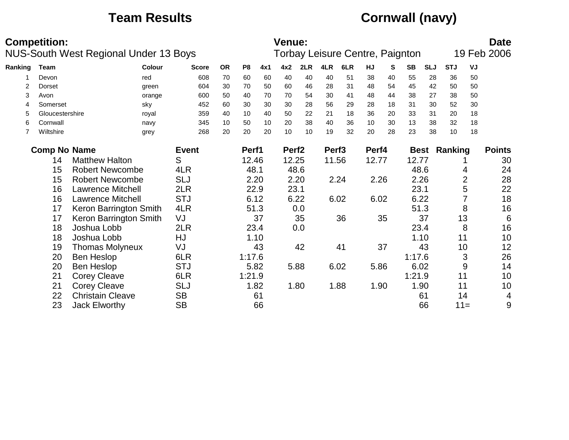# **Team Results Cornwall (navy)**

|         | <b>Competition:</b>        |                                       |              |           |                |      | <b>Venue:</b>     |      |                   |                                 |       |    |           |            |                     |                | <b>Date</b>   |
|---------|----------------------------|---------------------------------------|--------------|-----------|----------------|------|-------------------|------|-------------------|---------------------------------|-------|----|-----------|------------|---------------------|----------------|---------------|
|         |                            | NUS-South West Regional Under 13 Boys |              |           |                |      |                   |      |                   | Torbay Leisure Centre, Paignton |       |    |           |            |                     |                | 19 Feb 2006   |
| Ranking | Team                       | Colour                                | <b>Score</b> | <b>OR</b> | P <sub>8</sub> | 4x1  | 4x2               | 2LR  | 4LR               | 6LR                             | HJ    | S  | <b>SB</b> | <b>SLJ</b> | <b>STJ</b>          | VJ             |               |
|         | Devon                      | red                                   | 608          | 70        | 60             | 60   | 40                | 40   | 40                | 51                              | 38    | 40 | 55        | 28         | 36                  | 50             |               |
| 2       | Dorset                     | green                                 | 604          | 30        | 70             | 50   | 60                | 46   | 28                | 31                              | 48    | 54 | 45        | 42         | 50                  | 50             |               |
| 3       | Avon                       | orange                                | 600          | 50        | 40             | 70   | 70                | 54   | 30                | 41                              | 48    | 44 | 38        | 27         | 38                  | 50             |               |
| 4       | Somerset                   | sky                                   | 452          | 60        | 30             | 30   | 30                | 28   | 56                | 29                              | 28    | 18 | 31        | 30         | 52                  | 30             |               |
| 5       | Gloucestershire            | royal                                 | 359          | 40        | 10             | 40   | 50                | 22   | 21                | 18                              | 36    | 20 | 33        | 31         | 20                  | 18             |               |
| 6       | Cornwall                   | navy                                  | 345          | 10        | 50             | 10   | 20                | 38   | 40                | 36                              | 10    | 30 | 13        | 38         | 32                  | 18             |               |
| 7       | Wiltshire                  | grey                                  | 268          | 20        | 20             | 20   | 10                | 10   | 19                | 32                              | 20    | 28 | 23        | 38         | 10                  | 18             |               |
|         | <b>Comp No Name</b>        |                                       | <b>Event</b> |           | Perf1          |      | Perf <sub>2</sub> |      | Perf <sub>3</sub> |                                 | Perf4 |    |           |            | <b>Best Ranking</b> |                | <b>Points</b> |
|         | 14                         | <b>Matthew Halton</b>                 | S            |           | 12.46          |      | 12.25             |      | 11.56             |                                 | 12.77 |    | 12.77     |            |                     |                | 30            |
|         | 15                         | <b>Robert Newcombe</b>                | 4LR          |           | 48.1           |      |                   | 48.6 |                   |                                 |       |    | 48.6      |            |                     | 4              | 24            |
|         | 15                         | <b>Robert Newcombe</b>                | <b>SLJ</b>   |           |                | 2.20 |                   | 2.20 |                   | 2.24                            | 2.26  |    |           | 2.26       |                     | $\overline{2}$ | 28            |
|         | 16                         | <b>Lawrence Mitchell</b>              | 2LR          |           |                | 22.9 | 23.1              |      |                   |                                 |       |    | 23.1      |            |                     | 5              | 22            |
|         | 16                         | <b>Lawrence Mitchell</b>              | <b>STJ</b>   |           |                | 6.12 |                   | 6.22 |                   | 6.02                            | 6.02  |    |           | 6.22       |                     |                | 18            |
|         | 17                         | Keron Barrington Smith                | 4LR          |           |                | 51.3 |                   | 0.0  |                   |                                 |       |    |           | 51.3       |                     | 8              | 16            |
|         | 17                         | Keron Barrington Smith                | VJ           |           |                | 37   |                   | 35   |                   | 36                              |       | 35 |           | 37         |                     | 13             | 6             |
|         | 18                         | Joshua Lobb                           | 2LR          |           |                | 23.4 |                   | 0.0  |                   |                                 |       |    |           | 23.4       |                     | 8              | 16            |
|         | 18                         | Joshua Lobb                           | HJ           |           |                | 1.10 |                   |      |                   |                                 |       |    |           | 1.10       | 11                  |                | 10            |
|         | 19                         | <b>Thomas Molyneux</b>                | VJ           |           |                | 43   |                   | 42   |                   | 41                              |       | 37 |           | 43         |                     | 10             | 12            |
|         | 20                         | Ben Heslop                            | 6LR          |           | 1:17.6         |      |                   |      |                   |                                 |       |    | 1:17.6    |            |                     | 3              | 26            |
|         | 20                         | Ben Heslop                            | <b>STJ</b>   |           |                | 5.82 |                   | 5.88 |                   | 6.02                            | 5.86  |    | 6.02      |            |                     | 9              | 14            |
|         | 21                         | <b>Corey Cleave</b>                   | 6LR          |           | 1:21.9         |      |                   |      |                   |                                 |       |    | 1:21.9    |            | 11                  |                | 10            |
|         | 21                         | <b>Corey Cleave</b>                   | <b>SLJ</b>   |           |                | 1.82 |                   | 1.80 |                   | 1.88                            | 1.90  |    |           | 1.90       | 11                  |                | 10            |
|         | 22                         | <b>Christain Cleave</b>               | <b>SB</b>    |           |                | 61   |                   |      |                   |                                 |       |    |           | 61         | 14                  |                | 4             |
|         | 23<br><b>Jack Elworthy</b> |                                       | <b>SB</b>    |           |                | 66   |                   |      |                   |                                 |       |    |           | 66         |                     | $11 =$         | 9             |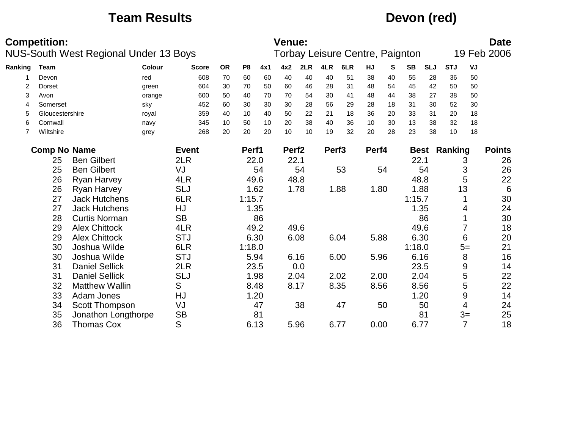## **Team Results Devon (red)**

|         | <b>Competition:</b>                   | <b>NUS-South West Regional Under 13 Boys</b> |           |              |           |                |      | Venue:            |      |                   | Torbay Leisure Centre, Paignton |       |      |           |            |                     |      | <b>Date</b><br>19 Feb 2006 |
|---------|---------------------------------------|----------------------------------------------|-----------|--------------|-----------|----------------|------|-------------------|------|-------------------|---------------------------------|-------|------|-----------|------------|---------------------|------|----------------------------|
| Ranking | Team                                  |                                              | Colour    | <b>Score</b> | <b>OR</b> | P <sub>8</sub> | 4x1  | 4x2               | 2LR  | 4LR               | 6LR                             | HJ    | S    | <b>SB</b> | <b>SLJ</b> | <b>STJ</b>          | VJ   |                            |
|         | Devon                                 |                                              | red       | 608          | 70        | 60             | 60   | 40                | 40   | 40                | 51                              | 38    | 40   | 55        | 28         | 36                  | 50   |                            |
| 2       | Dorset                                |                                              | green     | 604          | 30        | 70             | 50   | 60                | 46   | 28                | 31                              | 48    | 54   | 45        | 42         | 50                  | 50   |                            |
| 3       | Avon                                  |                                              | orange    | 600          | 50        | 40             | 70   | 70                | 54   | 30                | 41                              | 48    | 44   | 38        | 27         | 38                  | 50   |                            |
| 4       | Somerset                              |                                              | sky       | 452          | 60        | 30             | 30   | 30                | 28   | 56                | 29                              | 28    | 18   | 31        | 30         | 52                  | 30   |                            |
| 5       | Gloucestershire                       |                                              | royal     | 359          | 40        | 10             | 40   | 50                | 22   | 21                | 18                              | 36    | 20   | 33        | 31         | 20                  | 18   |                            |
| 6       | Cornwall                              |                                              | navy      | 345          | 10        | 50             | 10   | 20                | 38   | 40                | 36                              | 10    | 30   | 13        | 38         | 32                  | 18   |                            |
| 7       | Wiltshire                             |                                              | grey      | 268          | 20        | 20             | 20   | 10                | 10   | 19                | 32                              | 20    | 28   | 23        | 38         | 10                  | 18   |                            |
|         | <b>Comp No Name</b>                   |                                              |           | <b>Event</b> |           | Perf1          |      | Perf <sub>2</sub> |      | Perf <sub>3</sub> |                                 | Perf4 |      |           |            | <b>Best Ranking</b> |      | <b>Points</b>              |
|         | 25                                    | <b>Ben Gilbert</b>                           |           |              | 22.0      | 22.1           |      |                   |      |                   |                                 | 22.1  |      |           | 3          | 26                  |      |                            |
|         | 2LR<br>25<br><b>Ben Gilbert</b><br>VJ |                                              |           |              |           |                | 54   |                   | 54   |                   | 53                              |       | 54   |           | 54         |                     | 3    | 26                         |
|         | 26                                    | <b>Ryan Harvey</b>                           |           | 4LR          |           |                | 49.6 |                   | 48.8 |                   |                                 |       |      | 48.8      |            |                     | 5    | 22                         |
|         | 26                                    | Ryan Harvey                                  |           | <b>SLJ</b>   |           |                | 1.62 |                   | 1.78 |                   | 1.88                            | 1.80  |      | 1.88      |            | 13                  |      | 6                          |
|         | 27                                    | <b>Jack Hutchens</b>                         |           | 6LR          |           | 1:15.7         |      |                   |      |                   |                                 |       |      | 1:15.7    |            |                     |      | 30                         |
|         | 27                                    | <b>Jack Hutchens</b>                         |           | HJ           |           |                | 1.35 |                   |      |                   |                                 |       |      | 1.35      |            |                     | 4    | 24                         |
|         | 28                                    | <b>Curtis Norman</b>                         |           | <b>SB</b>    |           |                | 86   |                   |      |                   |                                 |       |      |           | 86         |                     |      | 30                         |
|         | 29                                    | <b>Alex Chittock</b>                         |           | 4LR          |           |                | 49.2 |                   | 49.6 |                   |                                 |       |      | 49.6      |            |                     | 7    | 18                         |
|         | 29                                    | <b>Alex Chittock</b>                         |           | <b>STJ</b>   |           |                | 6.30 |                   | 6.08 |                   | 6.04                            | 5.88  |      | 6.30      |            |                     | 6    | 20                         |
|         | 30                                    | Joshua Wilde                                 |           | 6LR          |           | 1:18.0         |      |                   |      |                   |                                 |       |      | 1:18.0    |            |                     | $5=$ | 21                         |
|         | 30                                    | Joshua Wilde                                 |           | <b>STJ</b>   |           |                | 5.94 |                   | 6.16 |                   | 6.00                            | 5.96  |      | 6.16      |            |                     | 8    | 16                         |
|         | 31                                    | <b>Daniel Sellick</b>                        |           | 2LR          |           |                | 23.5 |                   | 0.0  |                   |                                 |       |      | 23.5      |            |                     | 9    | 14                         |
|         | 31                                    | <b>Daniel Sellick</b>                        |           | <b>SLJ</b>   |           |                | 1.98 | 2.04              |      |                   | 2.02                            | 2.00  |      | 2.04      |            |                     | 5    | 22                         |
|         | S<br>32<br><b>Matthew Wallin</b>      |                                              |           |              |           | 8.48           |      | 8.17              |      | 8.35              | 8.56                            |       | 8.56 |           |            | 5                   | 22   |                            |
|         | HJ<br>33<br>Adam Jones                |                                              |           |              | 1.20      |                |      |                   |      |                   |                                 | 1.20  |      |           | 9          | 14                  |      |                            |
|         | Scott Thompson<br>34                  |                                              | VJ        |              |           | 47             |      | 38                |      | 47                |                                 | 50    |      | 50        |            | 4                   | 24   |                            |
|         | 35<br>Jonathon Longthorpe             |                                              | <b>SB</b> |              |           | 81             |      |                   |      |                   |                                 |       |      | 81        |            | $3=$                | 25   |                            |
|         | S<br><b>Thomas Cox</b><br>36          |                                              |           |              |           | 6.13           |      | 5.96              |      | 6.77              | 0.00                            |       | 6.77 |           |            | $\overline{7}$      | 18   |                            |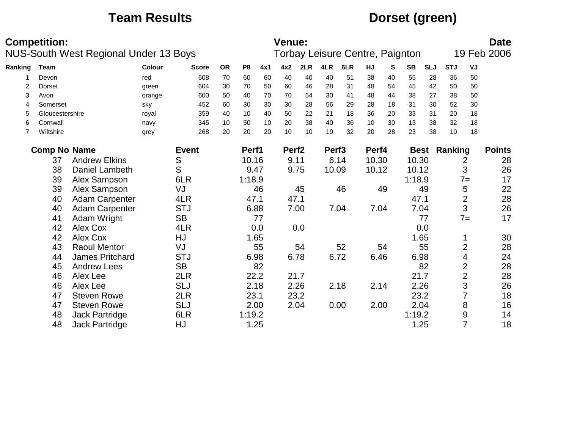# **Team Results Dorset (green)**

|         | <b>Competition:</b> | <b>NUS-South West Regional Under 13 Boys</b> |        |              |           |        |      | <b>Venue:</b>     |      |                   | Torbay Leisure Centre, Paignton |       |    |           |            |                     |                | <b>Date</b><br>19 Feb 2006 |
|---------|---------------------|----------------------------------------------|--------|--------------|-----------|--------|------|-------------------|------|-------------------|---------------------------------|-------|----|-----------|------------|---------------------|----------------|----------------------------|
| Ranking | Team                |                                              | Colour | <b>Score</b> | <b>OR</b> | P8     | 4x1  | 4x2               | 2LR  | 4LR               | 6LR                             | HJ    | S  | <b>SB</b> | <b>SLJ</b> | <b>STJ</b>          | VJ             |                            |
|         | Devon               |                                              | red    | 608          | 70        | 60     | 60   | 40                | 40   | 40                | 51                              | 38    | 40 | 55        | 28         | 36                  | 50             |                            |
| 2       | Dorset              |                                              | green  | 604          | 30        | 70     | 50   | 60                | 46   | 28                | 31                              | 48    | 54 | 45        | 42         | 50                  | 50             |                            |
| 3       | Avon                |                                              | orange | 600          | 50        | 40     | 70   | 70                | 54   | 30                | 41                              | 48    | 44 | 38        | 27         | 38                  | 50             |                            |
| 4       | Somerset            |                                              | sky    | 452          | 60        | 30     | 30   | 30                | 28   | 56                | 29                              | 28    | 18 | 31        | 30         | 52                  | 30             |                            |
| 5       | Gloucestershire     |                                              | royal  | 359          | 40        | 10     | 40   | 50                | 22   | 21                | 18                              | 36    | 20 | 33        | 31         | 20                  | 18             |                            |
| 6       | Cornwall            |                                              | navy   | 345          | 10        | 50     | 10   | 20                | 38   | 40                | 36                              | 10    | 30 | 13        | 38         | 32                  | 18             |                            |
| 7       | Wiltshire           |                                              | grey   | 268          | 20        | 20     | 20   | 10                | 10   | 19                | 32                              | 20    | 28 | 23        | 38         | 10                  | 18             |                            |
|         | <b>Comp No Name</b> |                                              |        | <b>Event</b> |           | Perf1  |      | Perf <sub>2</sub> |      | Perf <sub>3</sub> |                                 | Perf4 |    |           |            | <b>Best Ranking</b> |                | <b>Points</b>              |
|         | 37                  | <b>Andrew Elkins</b>                         |        | 10.16        |           | 9.11   |      |                   | 6.14 | 10.30             |                                 | 10.30 |    |           | 2          | 28                  |                |                            |
|         | 38                  | Daniel Lambeth                               |        | S            |           | 9.47   |      | 9.75              |      | 10.09             |                                 | 10.12 |    | 10.12     |            |                     | 3              | 26                         |
|         | 39                  | Alex Sampson                                 |        | 6LR          |           | 1:18.9 |      |                   |      |                   |                                 |       |    | 1:18.9    |            |                     | $7 =$          | 17                         |
|         | 39                  | Alex Sampson                                 |        | VJ           |           |        | 46   |                   | 45   |                   | 46                              |       | 49 |           | 49         |                     | 5              | 22                         |
|         | 40                  | Adam Carpenter                               |        | 4LR          |           | 47.1   |      | 47.1              |      |                   |                                 |       |    | 47.1      |            |                     | $\overline{2}$ | 28                         |
|         | 40                  | <b>Adam Carpenter</b>                        |        | <b>STJ</b>   |           | 6.88   |      |                   | 7.00 |                   | 7.04                            | 7.04  |    | 7.04      |            |                     | 3              | 26                         |
|         | 41                  | Adam Wright                                  |        | <b>SB</b>    |           |        | 77   |                   |      |                   |                                 |       |    |           | 77         |                     | $7 =$          | 17                         |
|         | 42                  | Alex Cox                                     |        | 4LR          |           |        | 0.0  |                   | 0.0  |                   |                                 |       |    |           | 0.0        |                     |                |                            |
|         | 42                  | Alex Cox                                     |        | HJ           |           |        | 1.65 |                   |      |                   |                                 |       |    | 1.65      |            |                     |                | 30                         |
|         | 43                  | <b>Raoul Mentor</b>                          |        | VJ           |           |        | 55   |                   | 54   |                   | 52                              |       | 54 |           | 55         |                     | $\overline{2}$ | 28                         |
|         | 44                  | <b>James Pritchard</b>                       |        | <b>STJ</b>   |           | 6.98   |      |                   | 6.78 |                   | 6.72                            | 6.46  |    | 6.98      |            |                     | 4              | 24                         |
|         | 45                  | <b>Andrew Lees</b>                           |        | <b>SB</b>    |           |        | 82   |                   |      |                   |                                 |       |    |           | 82         |                     | $\overline{2}$ | 28                         |
|         | 46                  | Alex Lee                                     |        | 2LR          |           |        | 22.2 | 21.7              |      |                   |                                 |       |    | 21.7      |            |                     | $\overline{2}$ | 28                         |
|         | 46                  | Alex Lee                                     |        | <b>SLJ</b>   |           |        | 2.18 |                   | 2.26 |                   | 2.18                            | 2.14  |    | 2.26      |            |                     | 3              | 26                         |
|         | 47                  | <b>Steven Rowe</b>                           |        | 2LR          |           | 23.1   |      |                   | 23.2 |                   |                                 |       |    | 23.2      |            |                     | $\overline{7}$ | 18                         |
|         | 47                  | <b>Steven Rowe</b>                           |        | <b>SLJ</b>   |           | 2.00   |      |                   | 2.04 |                   | 0.00                            | 2.00  |    | 2.04      |            |                     | 8              | 16                         |
|         | 48                  | Jack Partridge                               |        | 6LR          |           | 1:19.2 |      |                   |      |                   |                                 |       |    | 1:19.2    |            |                     | 9              | 14                         |
|         | 48                  | <b>Jack Partridge</b>                        |        | HJ           |           | 1.25   |      |                   |      |                   |                                 |       |    | 1.25      |            |                     | $\overline{7}$ | 18                         |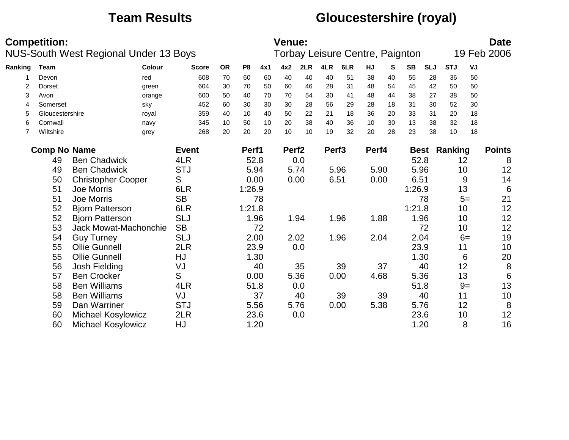# **Team Results Gloucestershire (royal)**

|         | <b>Competition:</b>                              |                           | <b>NUS-South West Regional Under 13 Boys</b> |              |           |                |      | <b>Venue:</b>     |      |                   | Torbay Leisure Centre, Paignton |       |    |           |            |                     |      | <b>Date</b><br>19 Feb 2006 |
|---------|--------------------------------------------------|---------------------------|----------------------------------------------|--------------|-----------|----------------|------|-------------------|------|-------------------|---------------------------------|-------|----|-----------|------------|---------------------|------|----------------------------|
| Ranking | <b>Team</b>                                      |                           | Colour                                       | <b>Score</b> | <b>OR</b> | P <sub>8</sub> | 4x1  | 4x2               | 2LR  | 4LR               | 6LR                             | HJ    | S  | <b>SB</b> | <b>SLJ</b> | <b>STJ</b>          | VJ   |                            |
|         | Devon                                            |                           | red                                          | 608          | 70        | 60             | 60   | 40                | 40   | 40                | 51                              | 38    | 40 | 55        | 28         | 36                  | 50   |                            |
| 2       | Dorset                                           |                           | green                                        | 604          | 30        | 70             | 50   | 60                | 46   | 28                | 31                              | 48    | 54 | 45        | 42         | 50                  | 50   |                            |
| 3       | Avon                                             |                           | orange                                       | 600          | 50        | 40             | 70   | 70                | 54   | 30                | 41                              | 48    | 44 | 38        | 27         | 38                  | 50   |                            |
| 4       | Somerset                                         |                           | sky                                          | 452          | 60        | 30             | 30   | 30                | 28   | 56                | 29                              | 28    | 18 | 31        | 30         | 52                  | 30   |                            |
| 5       | Gloucestershire                                  |                           | royal                                        | 359          | 40        | 10             | 40   | 50                | 22   | 21                | 18                              | 36    | 20 | 33        | 31         | 20                  | 18   |                            |
| 6       | Cornwall                                         |                           | navy                                         | 345          | 10        | 50             | 10   | 20                | 38   | 40                | 36                              | 10    | 30 | 13        | 38         | 32                  | 18   |                            |
| 7       | Wiltshire                                        |                           | grey                                         | 268          | 20        | 20             | 20   | 10                | 10   | 19                | 32                              | 20    | 28 | 23        | 38         | 10                  | 18   |                            |
|         | <b>Comp No Name</b>                              |                           |                                              | <b>Event</b> |           | Perf1          |      | Perf <sub>2</sub> |      | Perf <sub>3</sub> |                                 | Perf4 |    |           |            | <b>Best Ranking</b> |      | <b>Points</b>              |
|         | 49                                               |                           |                                              | 52.8         |           | 0.0            |      |                   |      |                   | 52.8                            |       |    | 12        | 8          |                     |      |                            |
|         | <b>Ben Chadwick</b><br><b>Ben Chadwick</b><br>49 |                           |                                              | <b>STJ</b>   |           |                | 5.94 |                   | 5.74 |                   | 5.96                            | 5.90  |    | 5.96      |            |                     | 10   | 12                         |
|         | 50                                               | <b>Christopher Cooper</b> |                                              | S            |           |                | 0.00 |                   | 0.00 |                   | 6.51                            | 0.00  |    | 6.51      |            |                     | 9    | 14                         |
|         | 51                                               | Joe Morris                |                                              | 6LR          |           | 1:26.9         |      |                   |      |                   |                                 |       |    | 1:26.9    |            |                     | 13   | $6\phantom{1}6$            |
|         | 51                                               | Joe Morris                |                                              | <b>SB</b>    |           |                | 78   |                   |      |                   |                                 |       |    |           | 78         |                     | $5=$ | 21                         |
|         | 52                                               | <b>Bjorn Patterson</b>    |                                              | 6LR          |           | 1:21.8         |      |                   |      |                   |                                 |       |    | 1:21.8    |            |                     | 10   | 12                         |
|         | 52                                               | <b>Bjorn Patterson</b>    |                                              | <b>SLJ</b>   |           |                | 1.96 |                   | 1.94 |                   | 1.96                            | 1.88  |    | 1.96      |            |                     | 10   | 12                         |
|         | 53                                               |                           | Jack Mowat-Machonchie                        | <b>SB</b>    |           |                | 72   |                   |      |                   |                                 |       |    |           | 72         |                     | 10   | 12                         |
|         | 54                                               | <b>Guy Turney</b>         |                                              | <b>SLJ</b>   |           |                | 2.00 |                   | 2.02 |                   | 1.96                            | 2.04  |    | 2.04      |            |                     | $6=$ | 19                         |
|         | 55                                               | <b>Ollie Gunnell</b>      |                                              | 2LR          |           |                | 23.9 |                   | 0.0  |                   |                                 |       |    | 23.9      |            | 11                  |      | 10                         |
|         | 55                                               | <b>Ollie Gunnell</b>      |                                              | HJ           |           |                | 1.30 |                   |      |                   |                                 |       |    |           | 1.30       |                     | 6    | 20                         |
|         | 56                                               | Josh Fielding             |                                              | VJ           |           |                | 40   |                   | 35   |                   | 39                              |       | 37 |           | 40         |                     | 12   | $\, 8$                     |
|         | 57                                               | <b>Ben Crocker</b>        |                                              | S            |           |                | 0.00 |                   | 5.36 |                   | 0.00                            | 4.68  |    | 5.36      |            |                     | 13   | $6\phantom{1}6$            |
|         | 58                                               | <b>Ben Williams</b>       |                                              | 4LR          |           |                | 51.8 |                   | 0.0  |                   |                                 |       |    | 51.8      |            |                     | $9=$ | 13                         |
|         | 58                                               | <b>Ben Williams</b>       |                                              | VJ           |           |                | 37   |                   | 40   |                   | 39                              |       | 39 |           | 40         | 11                  |      | 10                         |
|         | 59                                               | Dan Warriner              |                                              | <b>STJ</b>   |           |                | 5.56 |                   | 5.76 |                   | 0.00                            | 5.38  |    | 5.76      |            |                     | 12   | 8                          |
|         | 60                                               | Michael Kosylowicz        |                                              | 2LR          |           |                | 23.6 |                   | 0.0  |                   |                                 |       |    | 23.6      |            |                     | 10   | 12                         |
|         | 60<br><b>Michael Kosylowicz</b>                  |                           |                                              | HJ           |           |                | 1.20 |                   |      |                   |                                 |       |    | 1.20      |            |                     | 8    | 16                         |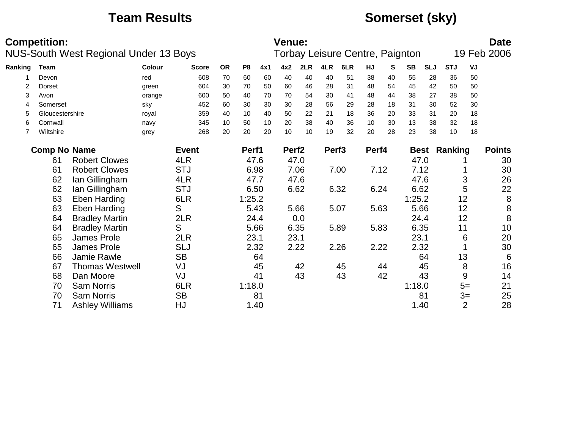# **Team Results Somerset (sky)**

|         | <b>Competition:</b>          | NUS-South West Regional Under 13 Boys |        |              |           |                |     | <b>Venue:</b>     |      |                   | Torbay Leisure Centre, Paignton |       |      |           |            |                     |      | <b>Date</b><br>19 Feb 2006 |
|---------|------------------------------|---------------------------------------|--------|--------------|-----------|----------------|-----|-------------------|------|-------------------|---------------------------------|-------|------|-----------|------------|---------------------|------|----------------------------|
| Ranking | <b>Team</b>                  |                                       | Colour | <b>Score</b> | <b>OR</b> | P <sub>8</sub> | 4x1 | 4x2               | 2LR  | 4LR               | 6LR                             | HJ    | S    | <b>SB</b> | <b>SLJ</b> | <b>STJ</b>          | VJ   |                            |
|         | Devon                        |                                       | red    | 608          | 70        | 60             | 60  | 40                | 40   | 40                | 51                              | 38    | 40   | 55        | 28         | 36                  | 50   |                            |
| 2       | Dorset                       |                                       | green  | 604          | 30        | 70             | 50  | 60                | 46   | 28                | 31                              | 48    | 54   | 45        | 42         | 50                  | 50   |                            |
| 3       | Avon                         |                                       | orange | 600          | 50        | 40             | 70  | 70                | 54   | 30                | 41                              | 48    | 44   | 38        | 27         | 38                  | 50   |                            |
| 4       | Somerset                     |                                       | sky    | 452          | 60        | 30             | 30  | 30                | 28   | 56                | 29                              | 28    | 18   | 31        | 30         | 52                  | 30   |                            |
| 5       | Gloucestershire              |                                       | royal  | 359          | 40        | 10             | 40  | 50                | 22   | 21                | 18                              | 36    | 20   | 33        | 31         | 20                  | 18   |                            |
| 6       | Cornwall                     |                                       | navy   | 345          | 10        | 50             | 10  | 20                | 38   | 40                | 36                              | 10    | 30   | 13        | 38         | 32                  | 18   |                            |
| 7       | Wiltshire                    |                                       | grey   | 268          | 20        | 20             | 20  | 10                | 10   | 19                | 32                              | 20    | 28   | 23        | 38         | 10                  | 18   |                            |
|         | <b>Comp No Name</b>          |                                       |        | <b>Event</b> |           | Perf1          |     | Perf <sub>2</sub> |      | Perf <sub>3</sub> |                                 | Perf4 |      |           |            | <b>Best Ranking</b> |      | <b>Points</b>              |
|         | 61                           | <b>Robert Clowes</b>                  |        | 4LR          |           | 47.6           |     | 47.0              |      |                   |                                 |       |      | 47.0      |            |                     |      | 30                         |
|         | 61                           | <b>Robert Clowes</b>                  |        | <b>STJ</b>   |           | 6.98           |     | 7.06              |      |                   | 7.00                            | 7.12  |      | 7.12      |            |                     |      | 30                         |
|         | 62                           | Ian Gillingham                        |        | 4LR          |           | 47.7           |     | 47.6              |      |                   |                                 |       |      | 47.6      |            |                     | 3    | 26                         |
|         | 62                           | Ian Gillingham                        |        | <b>STJ</b>   |           | 6.50           |     | 6.62              |      |                   | 6.32                            | 6.24  |      | 6.62      |            |                     | 5    | 22                         |
|         | 63                           | <b>Eben Harding</b>                   |        | 6LR          |           | 1:25.2         |     |                   |      |                   |                                 |       |      | 1:25.2    |            | 12                  |      | 8                          |
|         | 63                           | <b>Eben Harding</b>                   |        | S            |           | 5.43           |     |                   | 5.66 |                   | 5.07                            | 5.63  |      | 5.66      |            | 12                  |      | 8                          |
|         | 64                           | <b>Bradley Martin</b>                 |        | 2LR          |           | 24.4           |     |                   | 0.0  |                   |                                 |       |      | 24.4      |            | 12                  |      | 8                          |
|         | 64                           | <b>Bradley Martin</b>                 |        | S            |           | 5.66           |     | 6.35              |      |                   | 5.89                            | 5.83  |      | 6.35      |            | 11                  |      | 10                         |
|         | 65                           | James Prole                           |        | 2LR          |           | 23.1           |     | 23.1              |      |                   |                                 |       |      | 23.1      |            |                     | 6    | 20                         |
|         | 65                           | James Prole                           |        | <b>SLJ</b>   |           | 2.32           |     | 2.22              |      |                   | 2.26                            | 2.22  |      | 2.32      |            |                     |      | 30                         |
|         | 66                           | Jamie Rawle                           |        | <b>SB</b>    |           |                | 64  |                   |      |                   |                                 |       |      |           | 64         | 13                  |      | $6\phantom{1}6$            |
|         | 67                           | <b>Thomas Westwell</b>                |        | VJ           |           |                | 45  |                   | 42   |                   | 45                              |       | 44   |           | 45         |                     | 8    | 16                         |
|         | 68                           | Dan Moore                             |        | VJ           |           |                | 41  |                   | 43   |                   | 43                              |       | 42   |           | 43         |                     | 9    | 14                         |
|         | 70                           | <b>Sam Norris</b>                     |        | 6LR          |           | 1:18.0         |     |                   |      |                   |                                 |       |      | 1:18.0    |            |                     | $5=$ | 21                         |
|         | 70                           | <b>Sam Norris</b>                     |        | <b>SB</b>    |           |                | 81  |                   |      |                   |                                 |       |      |           | 81         |                     | $3=$ | 25                         |
|         | <b>Ashley Williams</b><br>71 |                                       | HJ     |              | 1.40      |                |     |                   |      |                   |                                 |       | 1.40 |           |            | $\overline{2}$      | 28   |                            |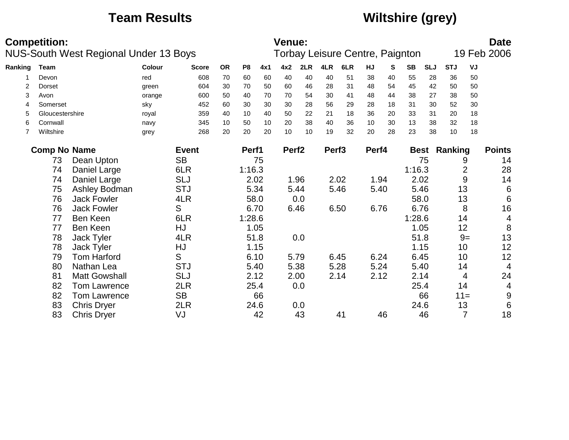# **Team Results Wiltshire (grey)**

| <b>Competition:</b><br><b>Venue:</b><br><b>NUS-South West Regional Under 13 Boys</b><br>Torbay Leisure Centre, Paignton |                                          |                    |        |              |           |                |     |                   |      |                   |      |           |      |           | <b>Date</b> |                     |                  |                          |
|-------------------------------------------------------------------------------------------------------------------------|------------------------------------------|--------------------|--------|--------------|-----------|----------------|-----|-------------------|------|-------------------|------|-----------|------|-----------|-------------|---------------------|------------------|--------------------------|
|                                                                                                                         |                                          |                    |        |              |           |                |     |                   |      |                   |      |           |      |           |             |                     |                  | 19 Feb 2006              |
| Ranking                                                                                                                 | Team                                     |                    | Colour | <b>Score</b> | <b>OR</b> | P <sub>8</sub> | 4x1 | 4x2               | 2LR  | 4LR               | 6LR  | <b>HJ</b> | S    | <b>SB</b> | <b>SLJ</b>  | <b>STJ</b>          | VJ               |                          |
|                                                                                                                         | Devon                                    |                    | red    | 608          | 70        | 60             | 60  | 40                | 40   | 40                | 51   | 38        | 40   | 55        | 28          | 36                  | 50               |                          |
| 2                                                                                                                       | <b>Dorset</b>                            |                    | green  | 604          | 30        | 70             | 50  | 60                | 46   | 28                | 31   | 48        | 54   | 45        | 42          | 50                  | 50               |                          |
| 3                                                                                                                       | Avon                                     |                    | orange | 600          | 50        | 40             | 70  | 70                | 54   | 30                | 41   | 48        | 44   | 38        | 27          | 38                  | 50               |                          |
| 4                                                                                                                       | Somerset                                 |                    | sky    | 452          | 60        | 30             | 30  | 30                | 28   | 56                | 29   | 28        | 18   | 31        | 30          | 52                  | 30               |                          |
| 5                                                                                                                       | Gloucestershire                          |                    | royal  | 359          | 40        | 10             | 40  | 50                | 22   | 21                | 18   | 36        | 20   | 33        | 31          | 20                  | 18               |                          |
| 6                                                                                                                       | Cornwall                                 |                    | navy   | 345          | 10        | 50             | 10  | 20                | 38   | 40                | 36   | 10        | 30   | 13        | 38          | 32                  | 18               |                          |
| 7                                                                                                                       | Wiltshire                                |                    | grey   | 268          | 20        | 20             | 20  | 10                | 10   | 19                | 32   | 20        | 28   | 23        | 38          | 10                  | 18               |                          |
|                                                                                                                         | <b>Comp No Name</b>                      |                    |        | <b>Event</b> |           | Perf1          |     | Perf <sub>2</sub> |      | Perf <sub>3</sub> |      | Perf4     |      |           |             | <b>Best Ranking</b> |                  | <b>Points</b>            |
|                                                                                                                         | 73                                       | Dean Upton         |        |              | 75        |                |     |                   |      |                   |      |           | 75   |           | 9           | 14                  |                  |                          |
|                                                                                                                         | <b>SB</b><br>Daniel Large<br>74          |                    |        | 6LR          |           | 1:16.3         |     |                   |      |                   |      |           |      | 1:16.3    |             |                     | $\overline{2}$   | 28                       |
|                                                                                                                         | 74                                       | Daniel Large       |        | <b>SLJ</b>   |           | 2.02           |     |                   | 1.96 |                   | 2.02 | 1.94      |      | 2.02      |             |                     | $\boldsymbol{9}$ | 14                       |
|                                                                                                                         | 75                                       | Ashley Bodman      |        | <b>STJ</b>   |           | 5.34           |     | 5.44              |      |                   | 5.46 | 5.40      |      | 5.46      |             |                     | 13               | $\,6\,$                  |
|                                                                                                                         | 76                                       | <b>Jack Fowler</b> |        | 4LR          |           | 58.0           |     |                   | 0.0  |                   |      |           |      | 58.0      |             |                     | 13               | $\,6\,$                  |
|                                                                                                                         | 76                                       | Jack Fowler        |        | S            |           | 6.70           |     |                   | 6.46 |                   | 6.50 | 6.76      |      | 6.76      |             |                     | 8                | 16                       |
|                                                                                                                         | 77                                       | Ben Keen           |        | 6LR          |           | 1:28.6         |     |                   |      |                   |      |           |      | 1:28.6    |             |                     | 14               | $\overline{\mathcal{A}}$ |
|                                                                                                                         | 77                                       | Ben Keen           |        | HJ           |           | 1.05           |     |                   |      |                   |      |           |      | 1.05      |             |                     | 12               | 8                        |
|                                                                                                                         | 78                                       | Jack Tyler         |        | 4LR          |           | 51.8           |     |                   | 0.0  |                   |      |           |      | 51.8      |             |                     | $9=$             | 13                       |
|                                                                                                                         | 78                                       | Jack Tyler         |        | HJ           |           | 1.15           |     |                   |      |                   |      |           |      | 1.15      |             |                     | 10               | 12                       |
|                                                                                                                         | 79                                       | Tom Harford        |        | S            |           | 6.10           |     | 5.79              |      |                   | 6.45 | 6.24      |      | 6.45      |             |                     | 10               | 12                       |
|                                                                                                                         | 80                                       | Nathan Lea         |        | <b>STJ</b>   |           | 5.40           |     | 5.38              |      |                   | 5.28 | 5.24      |      | 5.40      |             |                     | 14               | $\overline{4}$           |
|                                                                                                                         | <b>SLJ</b><br><b>Matt Gowshall</b><br>81 |                    |        |              | 2.12      |                |     | 2.00              |      | 2.14              | 2.12 |           | 2.14 |           |             | 4                   | 24               |                          |
|                                                                                                                         | 2LR<br>82<br><b>Tom Lawrence</b>         |                    |        |              | 25.4      |                |     | 0.0               |      |                   |      |           | 25.4 |           |             | 14                  | 4                |                          |
|                                                                                                                         | <b>SB</b><br>82<br><b>Tom Lawrence</b>   |                    |        |              |           | 66             |     |                   |      |                   |      |           |      | 66        |             | $11 =$              | $9\,$            |                          |
|                                                                                                                         | 2LR<br>83<br><b>Chris Dryer</b>          |                    |        |              | 24.6      |                |     | 0.0               |      |                   |      |           | 24.6 |           |             | 13                  | $6\phantom{1}6$  |                          |
|                                                                                                                         | VJ<br>83<br><b>Chris Dryer</b>           |                    |        |              |           |                | 42  |                   | 43   |                   | 41   |           | 46   |           | 46          |                     | $\overline{7}$   | 18                       |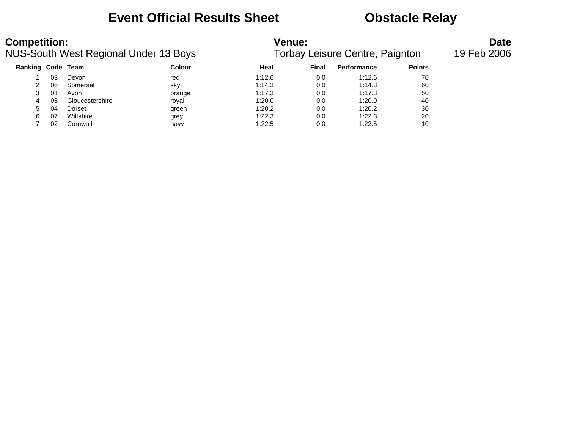## **Event Official Results Sheet <b>CEV** Obstacle Relay

| <b>Competition:</b> |    | NUS-South West Regional Under 13 Boys |               | <b>Venue:</b> |       | Torbay Leisure Centre, Paignton |               | <b>Date</b><br>19 Feb 2006 |
|---------------------|----|---------------------------------------|---------------|---------------|-------|---------------------------------|---------------|----------------------------|
| Ranking Code Team   |    |                                       | <b>Colour</b> | Heat          | Final | Performance                     | <b>Points</b> |                            |
|                     | 03 | Devon                                 | red           | 1:12.6        | 0.0   | 1:12.6                          | 70            |                            |
|                     | 06 | Somerset                              | sky           | 1:14.3        | 0.0   | 1:14.3                          | 60            |                            |
| 3                   | 01 | Avon                                  | orange        | 1:17.3        | 0.0   | 1:17.3                          | 50            |                            |
| 4                   | 05 | Gloucestershire                       | royal         | 1:20.0        | 0.0   | 1:20.0                          | 40            |                            |
| 5.                  | 04 | Dorset                                | green         | 1:20.2        | 0.0   | 1:20.2                          | 30            |                            |
| 6                   | 07 | Wiltshire                             | grey          | 1:22.3        | 0.0   | 1:22.3                          | 20            |                            |
|                     | 02 | Cornwall                              | navy          | 1:22.5        | 0.0   | 1:22.5                          | 10            |                            |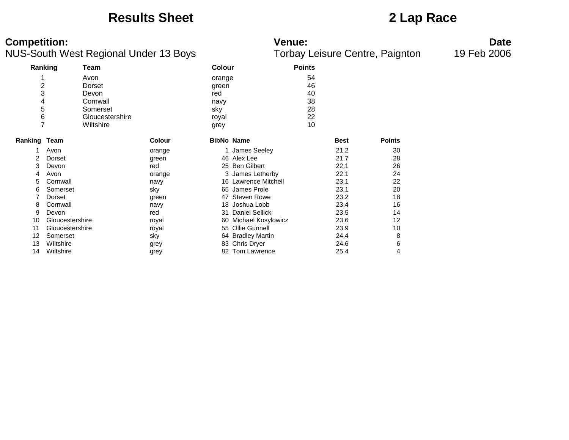### **Results Sheet 2 Lap Race**

### **Competition: Venue: Date**

|                     | Ranking         | Team            |               | <b>Colour</b>     |                       | <b>Points</b> |             |               |
|---------------------|-----------------|-----------------|---------------|-------------------|-----------------------|---------------|-------------|---------------|
|                     |                 | Avon            |               | orange            |                       | 54            |             |               |
| 2                   |                 | Dorset          |               | green             |                       | 46            |             |               |
| 3                   |                 | Devon           |               | red               |                       | 40            |             |               |
| 4                   |                 | Cornwall        |               | navy              |                       | 38            |             |               |
| 5                   |                 | Somerset        |               | sky               |                       | 28            |             |               |
| 6                   |                 | Gloucestershire |               | royal             |                       | 22            |             |               |
| 7                   |                 | Wiltshire       |               | grey              |                       | 10            |             |               |
|                     |                 |                 |               |                   |                       |               |             |               |
| <b>Ranking Team</b> |                 |                 | <b>Colour</b> | <b>BibNo Name</b> |                       |               | <b>Best</b> | <b>Points</b> |
|                     | Avon            |                 | orange        |                   | 1 James Seeley        |               | 21.2        | 30            |
| 2                   | Dorset          |                 | green         |                   | 46 Alex Lee           |               | 21.7        | 28            |
| 3                   | Devon           |                 | red           |                   | 25 Ben Gilbert        |               | 22.1        | 26            |
| 4                   | Avon            |                 | orange        |                   | 3 James Letherby      |               | 22.1        | 24            |
| 5                   | Cornwall        |                 | navy          |                   | 16 Lawrence Mitchell  |               | 23.1        | 22            |
| 6                   | Somerset        |                 | sky           |                   | 65 James Prole        |               | 23.1        | 20            |
|                     | Dorset          |                 | green         | 47                | <b>Steven Rowe</b>    |               | 23.2        | 18            |
| 8                   | Cornwall        |                 | navy          | 18                | Joshua Lobb           |               | 23.4        | 16            |
| 9                   | Devon           |                 | red           | 31                | <b>Daniel Sellick</b> |               | 23.5        | 14            |
| 10                  | Gloucestershire |                 | royal         | 60                | Michael Kosylowicz    |               | 23.6        | 12            |
| 11                  | Gloucestershire |                 | royal         |                   | 55 Ollie Gunnell      |               | 23.9        | 10            |
| 12                  | Somerset        |                 | sky           |                   | 64 Bradley Martin     |               | 24.4        | 8             |
| 13                  | Wiltshire       |                 | grey          |                   | 83 Chris Dryer        |               | 24.6        | 6             |
| 14                  | Wiltshire       |                 | grey          |                   | 82 Tom Lawrence       |               | 25.4        | 4             |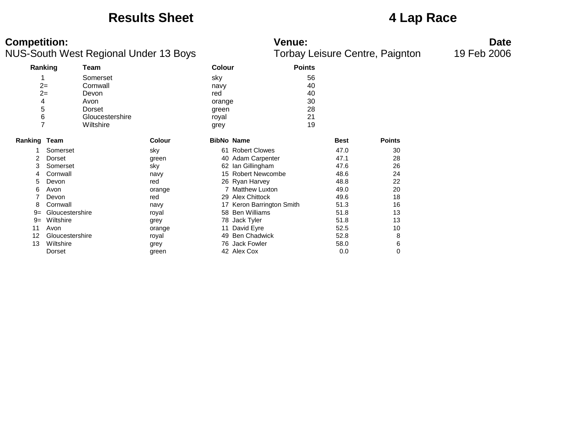### **Results Sheet 4 Lap Race**

### **Competition: Venue: Date**

|                | Ranking         | Team            |               | <b>Colour</b> |                        | <b>Points</b> |             |               |
|----------------|-----------------|-----------------|---------------|---------------|------------------------|---------------|-------------|---------------|
|                |                 | Somerset        |               | sky           |                        | 56            |             |               |
|                | $2=$            | Cornwall        |               | navy          |                        | 40            |             |               |
| $2=$           |                 | Devon           |               | red           |                        | 40            |             |               |
| 4              |                 | Avon            |               | orange        |                        | 30            |             |               |
| 5              |                 | Dorset          |               | green         |                        | 28            |             |               |
| 6              |                 | Gloucestershire |               | royal         |                        | 21            |             |               |
| $\overline{7}$ |                 | Wiltshire       |               | grey          |                        | 19            |             |               |
| Ranking Team   |                 |                 | <b>Colour</b> |               | <b>BibNo Name</b>      |               | <b>Best</b> | <b>Points</b> |
|                | Somerset        |                 | sky           |               | 61 Robert Clowes       |               | 47.0        | 30            |
|                | Dorset          |                 | green         | 40            | <b>Adam Carpenter</b>  |               | 47.1        | 28            |
| 3              | Somerset        |                 | sky           |               | 62 Ian Gillingham      |               | 47.6        | 26            |
| 4              | Cornwall        |                 | navy          |               | 15 Robert Newcombe     |               | 48.6        | 24            |
| 5              | Devon           |                 | red           |               | 26 Ryan Harvey         |               | 48.8        | 22            |
| 6              | Avon            |                 | orange        |               | 7 Matthew Luxton       |               | 49.0        | 20            |
|                | Devon           |                 | red           | 29            | <b>Alex Chittock</b>   |               | 49.6        | 18            |
| 8              | Cornwall        |                 | navy          | 17            | Keron Barrington Smith |               | 51.3        | 16            |
| $9=$           | Gloucestershire |                 | royal         |               | 58 Ben Williams        |               | 51.8        | 13            |
| $9 =$          | Wiltshire       |                 | grey          | 78            | Jack Tyler             |               | 51.8        | 13            |
| 11             | Avon            |                 | orange        | 11            | David Eyre             |               | 52.5        | 10            |
| 12             | Gloucestershire |                 | royal         | 49            | <b>Ben Chadwick</b>    |               | 52.8        | 8             |
| 13             | Wiltshire       |                 | grey          | 76            | <b>Jack Fowler</b>     |               | 58.0        | 6             |
|                | Dorset          |                 | green         |               | 42 Alex Cox            |               | 0.0         | 0             |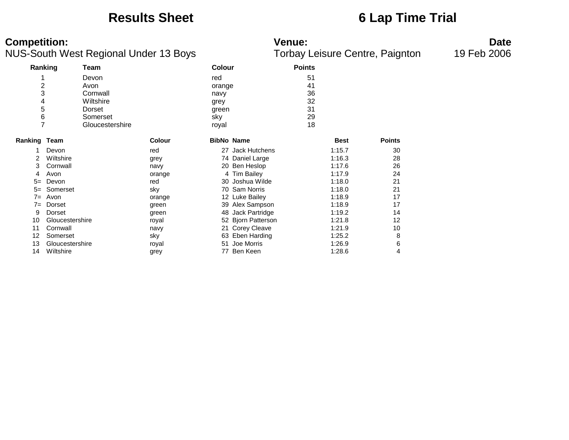### **Results Sheet 6 Lap Time Trial**

### **Competition: Venue: Date**

|                |                 | ັ               | ◢             |               |                     | ◢             |             | ັ             |
|----------------|-----------------|-----------------|---------------|---------------|---------------------|---------------|-------------|---------------|
|                | Ranking         | Team            |               | <b>Colour</b> |                     | <b>Points</b> |             |               |
|                |                 | Devon           |               | red           |                     | 51            |             |               |
| $\overline{c}$ |                 | Avon            |               | orange        |                     | 41            |             |               |
| 3              |                 | Cornwall        |               | navy          |                     | 36            |             |               |
| 4              |                 | Wiltshire       |               | grey          |                     | 32            |             |               |
| 5              |                 | Dorset          |               | green         |                     | 31            |             |               |
| 6              |                 | Somerset        |               | sky           |                     | 29            |             |               |
| $\overline{7}$ |                 | Gloucestershire |               | royal         |                     | 18            |             |               |
| Ranking Team   |                 |                 | <b>Colour</b> |               | <b>BibNo Name</b>   |               | <b>Best</b> | <b>Points</b> |
|                | Devon           |                 | red           |               | 27 Jack Hutchens    |               | 1:15.7      | 30            |
| 2              | Wiltshire       |                 | grey          |               | 74 Daniel Large     |               | 1:16.3      | 28            |
| 3              | Cornwall        |                 | navy          | 20            | Ben Heslop          |               | 1:17.6      | 26            |
| 4              | Avon            |                 | orange        |               | 4 Tim Bailey        |               | 1:17.9      | 24            |
| $5=$           | Devon           |                 | red           |               | 30 Joshua Wilde     |               | 1:18.0      | 21            |
| $5=$           | Somerset        |                 | sky           | 70            | <b>Sam Norris</b>   |               | 1:18.0      | 21            |
| $7 =$          | Avon            |                 | orange        |               | 12 Luke Bailey      |               | 1:18.9      | 17            |
| $7 =$          | Dorset          |                 | green         | 39            | Alex Sampson        |               | 1:18.9      | 17            |
| 9              | Dorset          |                 | green         |               | 48 Jack Partridge   |               | 1:19.2      | 14            |
| 10             | Gloucestershire |                 | royal         |               | 52 Bjorn Patterson  |               | 1:21.8      | 12            |
| 11             | Cornwall        |                 | navy          | 21            | <b>Corey Cleave</b> |               | 1:21.9      | 10            |
| 12             | Somerset        |                 | sky           | 63            | Eben Harding        |               | 1:25.2      | 8             |
| 13             | Gloucestershire |                 | royal         | 51            | Joe Morris          |               | 1:26.9      | 6             |
| 14             | Wiltshire       |                 | grey          | 77            | Ben Keen            |               | 1:28.6      | 4             |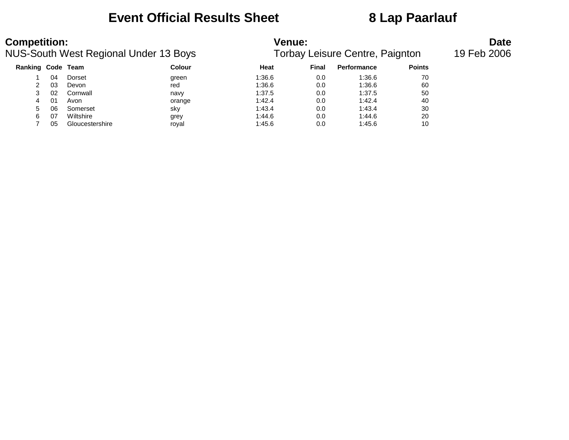## **Event Official Results Sheet 8 Lap Paarlauf**

| <b>Competition:</b><br>NUS-South West Regional Under 13 Boys |    |                 | <b>Venue:</b><br>Torbay Leisure Centre, Paignton | <b>Date</b><br>19 Feb 2006 |       |             |               |  |
|--------------------------------------------------------------|----|-----------------|--------------------------------------------------|----------------------------|-------|-------------|---------------|--|
| Ranking Code Team                                            |    |                 | <b>Colour</b>                                    | Heat                       | Final | Performance | <b>Points</b> |  |
|                                                              | 04 | Dorset          | green                                            | 1:36.6                     | 0.0   | 1:36.6      | 70            |  |
|                                                              | 03 | Devon           | red                                              | 1:36.6                     | 0.0   | 1:36.6      | 60            |  |
|                                                              | 02 | Cornwall        | navy                                             | 1:37.5                     | 0.0   | 1:37.5      | 50            |  |
| 4                                                            | 01 | Avon            | orange                                           | 1:42.4                     | 0.0   | 1:42.4      | 40            |  |
| 5.                                                           | 06 | Somerset        | sky                                              | 1:43.4                     | 0.0   | 1:43.4      | 30            |  |
| 6                                                            | 07 | Wiltshire       | grey                                             | 1:44.6                     | 0.0   | 1:44.6      | 20            |  |
|                                                              | 05 | Gloucestershire | roval                                            | 1:45.6                     | 0.0   | 1:45.6      | 10            |  |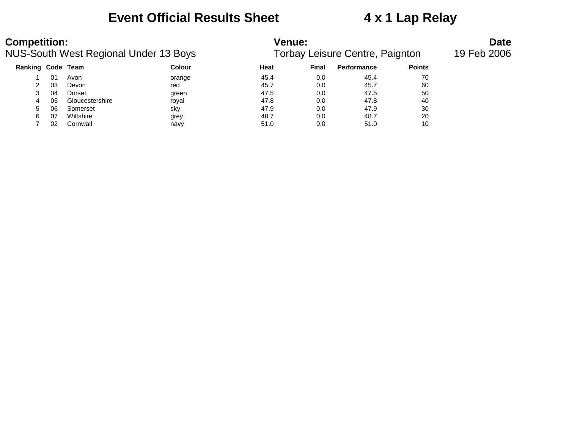## **Event Official Results Sheet 4 x 1 Lap Relay**

| <b>Competition:</b><br>NUS-South West Regional Under 13 Boys |     |                 |               | <b>Venue:</b><br>Torbay Leisure Centre, Paignton | <b>Date</b><br>19 Feb 2006 |                    |               |  |
|--------------------------------------------------------------|-----|-----------------|---------------|--------------------------------------------------|----------------------------|--------------------|---------------|--|
| Ranking Code Team                                            |     |                 | <b>Colour</b> | Heat                                             | Final                      | <b>Performance</b> | <b>Points</b> |  |
|                                                              | 01  | Avon            | orange        | 45.4                                             | 0.0                        | 45.4               | 70            |  |
|                                                              | -03 | Devon           | red           | 45.7                                             | 0.0                        | 45.7               | 60            |  |
|                                                              | 04  | Dorset          | green         | 47.5                                             | 0.0                        | 47.5               | 50            |  |
|                                                              | 05  | Gloucestershire | roval         | 47.8                                             | 0.0                        | 47.8               | 40            |  |

 06 Somerset sky 47.9 0.0 47.9 30 07 Wiltshire grey 48.7 0.0 48.7 20 02 Cornwall navy 51.0 0.0 51.0 10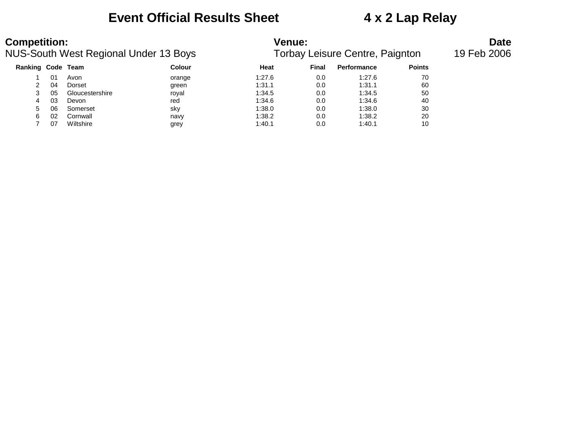### **Event Official Results Sheet 4 x 2 Lap Relay**

# **Competition: Venue: Date**

| NUS-South West Regional Under 13 Boys |    |                 |        | Torbay Leisure Centre, Paignton | 19 Feb 2006 |                    |               |  |
|---------------------------------------|----|-----------------|--------|---------------------------------|-------------|--------------------|---------------|--|
| Ranking Code Team                     |    |                 | Colour | Heat                            | Final       | <b>Performance</b> | <b>Points</b> |  |
|                                       | 01 | Avon            | orange | 1:27.6                          | 0.0         | 1:27.6             | 70            |  |
|                                       | 04 | Dorset          | green  | 1:31.1                          | 0.0         | 1:31.1             | 60            |  |
|                                       | 05 | Gloucestershire | roval  | 1:34.5                          | 0.0         | 1:34.5             | 50            |  |
| 4                                     | 03 | Devon           | red    | 1:34.6                          | 0.0         | 1:34.6             | 40            |  |
| 5                                     | 06 | Somerset        | sky    | 1:38.0                          | 0.0         | 1:38.0             | 30            |  |
| 6                                     | 02 | Cornwall        | navy   | 1:38.2                          | 0.0         | 1:38.2             | 20            |  |
|                                       | 07 | Wiltshire       | grey   | 1:40.1                          | 0.0         | 1:40.1             | 10            |  |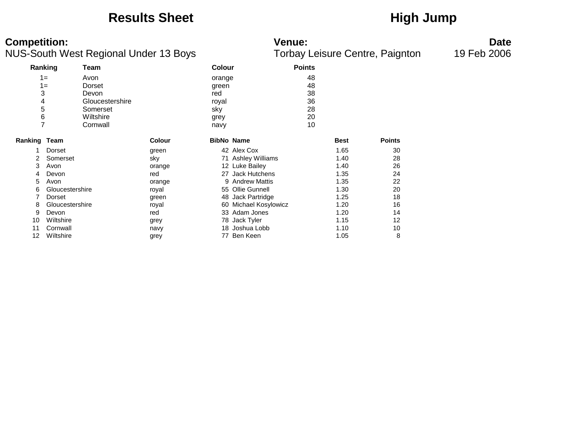## **Results Sheet High Jump**

### **Competition:**<br>**Date**<br>Torbay Leisure Centre, Paignton 19 Feb 2006<br>Torbay Leisure Centre, Paignton 19 Feb 2006 NUS-South West Regional Under 13 Boys

|                     | Ranking         | Team            |               | <b>Colour</b> |                    | <b>Points</b> |             |               |
|---------------------|-----------------|-----------------|---------------|---------------|--------------------|---------------|-------------|---------------|
|                     | $1 =$           | Avon            |               | orange        |                    | 48            |             |               |
|                     | $1 =$           | Dorset          |               | green         |                    | 48            |             |               |
| 3                   |                 | Devon           |               | red           |                    | 38            |             |               |
| 4                   |                 | Gloucestershire |               | royal         |                    | 36            |             |               |
| 5                   |                 | Somerset        |               | sky           |                    | 28            |             |               |
| 6                   |                 | Wiltshire       |               | grey          |                    | 20            |             |               |
| 7                   |                 | Cornwall        |               | navy          |                    | 10            |             |               |
|                     |                 |                 |               |               |                    |               |             |               |
| <b>Ranking Team</b> |                 |                 | <b>Colour</b> |               | <b>BibNo Name</b>  |               | <b>Best</b> | <b>Points</b> |
|                     | Dorset          |                 | green         |               | 42 Alex Cox        |               | 1.65        | 30            |
| 2                   | Somerset        |                 | sky           |               | 71 Ashley Williams |               | 1.40        | 28            |
| 3                   | Avon            |                 | orange        |               | 12 Luke Bailey     |               | 1.40        | 26            |
| 4                   | Devon           |                 | red           |               | 27 Jack Hutchens   |               | 1.35        | 24            |
| 5                   | Avon            |                 | orange        |               | 9 Andrew Mattis    |               | 1.35        | 22            |
| 6                   | Gloucestershire |                 | royal         |               | 55 Ollie Gunnell   |               | 1.30        | 20            |
|                     | Dorset          |                 | green         |               | 48 Jack Partridge  |               | 1.25        | 18            |
| 8                   | Gloucestershire |                 | royal         | 60            | Michael Kosylowicz |               | 1.20        | 16            |
| 9                   | Devon           |                 | red           |               | 33 Adam Jones      |               | 1.20        | 14            |
| 10                  | Wiltshire       |                 | grey          |               | 78 Jack Tyler      |               | 1.15        | 12            |
| 11                  | Cornwall        |                 | navy          |               | 18 Joshua Lobb     |               | 1.10        | 10            |
| 12                  | Wiltshire       |                 | grey          |               | 77 Ben Keen        |               | 1.05        | 8             |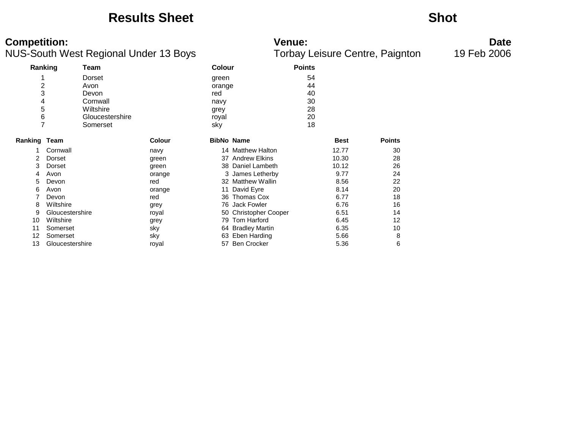### **Results Sheet Shot**

### **Competition: Venue: Date**

| Ranking             |                 | Team            |               | <b>Colour</b> |                       | <b>Points</b> |             |               |
|---------------------|-----------------|-----------------|---------------|---------------|-----------------------|---------------|-------------|---------------|
|                     |                 | Dorset          |               | green         |                       | 54            |             |               |
| 2                   |                 | Avon            |               | orange        |                       | 44            |             |               |
| 3                   |                 | Devon           |               | red           |                       | 40            |             |               |
| 4                   |                 | Cornwall        |               | navy          |                       | 30            |             |               |
| 5                   |                 | Wiltshire       |               | grey          |                       | 28            |             |               |
| 6                   |                 | Gloucestershire |               | royal         |                       | 20            |             |               |
| 7                   |                 | Somerset        |               | sky           |                       | 18            |             |               |
| <b>Ranking Team</b> |                 |                 | <b>Colour</b> |               | <b>BibNo Name</b>     |               | <b>Best</b> | <b>Points</b> |
|                     | Cornwall        |                 | navy          |               | 14 Matthew Halton     |               | 12.77       | 30            |
| 2                   | Dorset          |                 | green         |               | 37 Andrew Elkins      |               | 10.30       | 28            |
| 3                   | Dorset          |                 | green         | 38            | Daniel Lambeth        |               | 10.12       | 26            |
| 4                   | Avon            |                 | orange        |               | 3 James Letherby      |               | 9.77        | 24            |
| 5                   | Devon           |                 | red           |               | 32 Matthew Wallin     |               | 8.56        | 22            |
| 6                   | Avon            |                 | orange        | 11            | David Eyre            |               | 8.14        | 20            |
|                     | Devon           |                 | red           | 36            | <b>Thomas Cox</b>     |               | 6.77        | 18            |
| 8                   | Wiltshire       |                 | grey          |               | 76 Jack Fowler        |               | 6.76        | 16            |
| 9                   | Gloucestershire |                 | royal         |               | 50 Christopher Cooper |               | 6.51        | 14            |
| 10                  | Wiltshire       |                 | grey          | 79            | Tom Harford           |               | 6.45        | 12            |
| 11                  | Somerset        |                 | sky           |               | 64 Bradley Martin     |               | 6.35        | 10            |
| 12                  | Somerset        |                 | sky           | 63            | Eben Harding          |               | 5.66        | 8             |
| 13                  | Gloucestershire |                 | royal         | 57            | <b>Ben Crocker</b>    |               | 5.36        | 6             |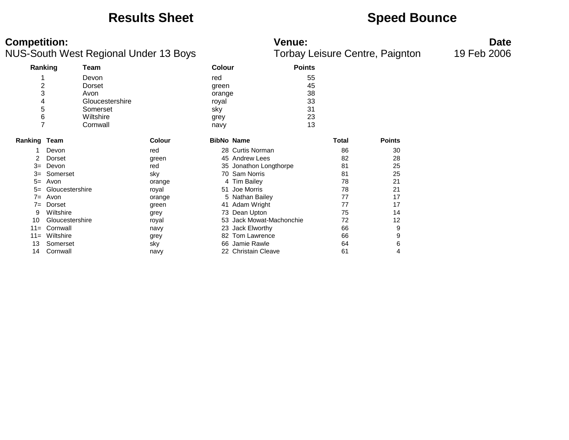### **Results Sheet <b>Speed Bounce Speed Bounce**

### **Competition: Venue: Date**

| Ranking      |                 | Team            |               | <b>Colour</b>     |                          | <b>Points</b> |              |               |
|--------------|-----------------|-----------------|---------------|-------------------|--------------------------|---------------|--------------|---------------|
|              |                 | Devon           |               | red               |                          | 55            |              |               |
| 2            |                 | Dorset          |               | green             |                          | 45            |              |               |
| 3            |                 | Avon            |               | orange            |                          | 38            |              |               |
| 4            |                 | Gloucestershire |               | royal             |                          | 33            |              |               |
| 5            |                 | Somerset        |               | sky               |                          | 31            |              |               |
| 6            |                 | Wiltshire       |               | grey              |                          | 23            |              |               |
| 7            |                 | Cornwall        |               | navy              |                          | 13            |              |               |
|              |                 |                 |               |                   |                          |               | <b>Total</b> | <b>Points</b> |
| Ranking Team |                 |                 | <b>Colour</b> | <b>BibNo Name</b> |                          |               |              |               |
| 1            | Devon           |                 | red           |                   | 28 Curtis Norman         |               | 86           | 30            |
|              | Dorset          |                 | green         |                   | 45 Andrew Lees           |               | 82           | 28            |
| $3=$         | Devon           |                 | red           |                   | 35 Jonathon Longthorpe   |               | 81           | 25            |
| $3=$         | Somerset        |                 | sky           |                   | 70 Sam Norris            |               | 81           | 25            |
| $5=$         | Avon            |                 | orange        |                   | 4 Tim Bailey             |               | 78           | 21            |
| $5=$         | Gloucestershire |                 | royal         |                   | 51 Joe Morris            |               | 78           | 21            |
| $7 =$        | Avon            |                 | orange        |                   | 5 Nathan Bailey          |               | 77           | 17            |
| $7 =$        | Dorset          |                 | green         |                   | 41 Adam Wright           |               | 77           | 17            |
| 9            | Wiltshire       |                 | grey          |                   | 73 Dean Upton            |               | 75           | 14            |
| 10           | Gloucestershire |                 | royal         |                   | 53 Jack Mowat-Machonchie |               | 72           | 12            |
| $11 =$       | Cornwall        |                 | navy          |                   | 23 Jack Elworthy         |               | 66           | 9             |
| $11 =$       | Wiltshire       |                 | grey          | 82                | Tom Lawrence             |               | 66           | 9             |
| 13           | Somerset        |                 | sky           | 66                | Jamie Rawle              |               | 64           | 6             |
| 14           | Cornwall        |                 | navy          |                   | 22 Christain Cleave      |               | 61           | 4             |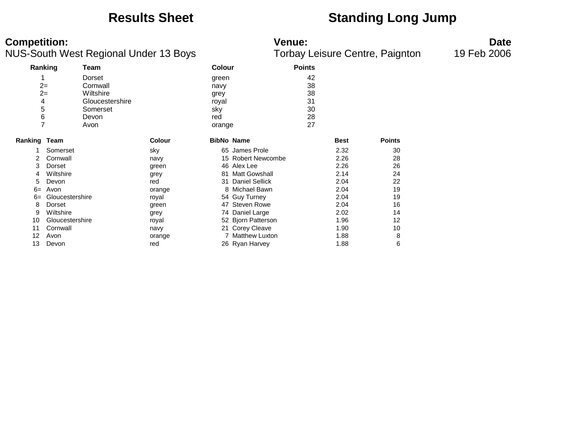## **Results Sheet Standing Long Jump**

### **Competition: Venue: Date**

|                     | Ranking         | Team            |               | Colour            |                       | <b>Points</b> |             |               |
|---------------------|-----------------|-----------------|---------------|-------------------|-----------------------|---------------|-------------|---------------|
|                     |                 | Dorset          |               | green             |                       | 42            |             |               |
|                     | $2 =$           | Cornwall        |               | navy              |                       | 38            |             |               |
|                     | $2=$            | Wiltshire       |               | grey              |                       | 38            |             |               |
| 4                   |                 | Gloucestershire |               | royal             |                       | 31            |             |               |
| 5                   |                 | Somerset        |               | sky               |                       | 30            |             |               |
| 6                   |                 | Devon           |               | red               |                       | 28            |             |               |
| 7                   |                 | Avon            |               | orange            |                       | 27            |             |               |
| <b>Ranking Team</b> |                 |                 | <b>Colour</b> | <b>BibNo Name</b> |                       |               | <b>Best</b> | <b>Points</b> |
|                     | Somerset        |                 | sky           |                   | 65 James Prole        |               | 2.32        | 30            |
| 2                   | Cornwall        |                 | navy          |                   | 15 Robert Newcombe    |               | 2.26        | 28            |
| 3                   | Dorset          |                 | green         |                   | 46 Alex Lee           |               | 2.26        | 26            |
| 4                   | Wiltshire       |                 | grey          | 81                | <b>Matt Gowshall</b>  |               | 2.14        | 24            |
| 5                   | Devon           |                 | red           | 31                | <b>Daniel Sellick</b> |               | 2.04        | 22            |
| $6=$                | Avon            |                 | orange        |                   | 8 Michael Bawn        |               | 2.04        | 19            |
| $6=$                | Gloucestershire |                 | royal         |                   | 54 Guy Turney         |               | 2.04        | 19            |
| 8                   | Dorset          |                 | green         | 47                | <b>Steven Rowe</b>    |               | 2.04        | 16            |
| 9                   | Wiltshire       |                 | grey          |                   | 74 Daniel Large       |               | 2.02        | 14            |
| 10                  | Gloucestershire |                 | royal         |                   | 52 Bjorn Patterson    |               | 1.96        | 12            |
| 11                  | Cornwall        |                 | navy          |                   | 21 Corey Cleave       |               | 1.90        | 10            |
| 12                  | Avon            |                 | orange        |                   | 7 Matthew Luxton      |               | 1.88        | 8             |
| 13                  | Devon           |                 | red           |                   | 26 Ryan Harvey        |               | 1.88        | 6             |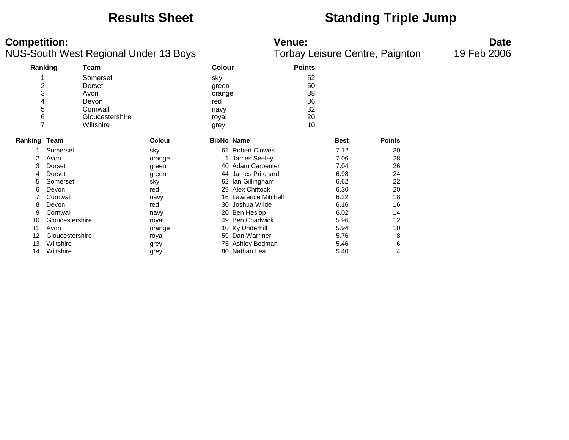## **Results Sheet Standing Triple Jump**

**Competition: Date**<br>**Reference: Date**<br>**Reference: Date**<br>**Torbay Leisure Centre, Paignton 19 Feb 2006** NUS-South West Regional Under 13 Boys

|                     |                                   |                 |                   | ----<br>$=$ $\frac{1}{2}$ $\frac{1}{2}$ $\frac{1}{2}$ $\frac{1}{2}$ $\frac{1}{2}$ $\frac{1}{2}$ $\frac{1}{2}$ $\frac{1}{2}$ $\frac{1}{2}$ $\frac{1}{2}$ $\frac{1}{2}$ $\frac{1}{2}$ $\frac{1}{2}$ $\frac{1}{2}$ $\frac{1}{2}$ $\frac{1}{2}$ $\frac{1}{2}$ $\frac{1}{2}$ $\frac{1}{2}$ $\frac{1}{2}$ $\frac{1}{2}$ $\frac{1}{2$ |               |             |               |  |  |
|---------------------|-----------------------------------|-----------------|-------------------|--------------------------------------------------------------------------------------------------------------------------------------------------------------------------------------------------------------------------------------------------------------------------------------------------------------------------------|---------------|-------------|---------------|--|--|
|                     | Ranking<br>Team                   |                 | Colour            |                                                                                                                                                                                                                                                                                                                                | <b>Points</b> |             |               |  |  |
|                     | Somerset                          |                 | sky               |                                                                                                                                                                                                                                                                                                                                | 52            |             |               |  |  |
|                     | $\overline{\mathbf{c}}$<br>Dorset |                 | green             |                                                                                                                                                                                                                                                                                                                                | 50            |             |               |  |  |
|                     | 3<br>Avon                         |                 | orange            |                                                                                                                                                                                                                                                                                                                                | 38            |             |               |  |  |
|                     | 4<br>Devon                        |                 | red               |                                                                                                                                                                                                                                                                                                                                | 36            |             |               |  |  |
|                     | 5<br>Cornwall                     |                 | navy              |                                                                                                                                                                                                                                                                                                                                | 32            |             |               |  |  |
|                     |                                   | Gloucestershire | royal             |                                                                                                                                                                                                                                                                                                                                | 20            |             |               |  |  |
|                     | $\frac{6}{7}$<br>Wiltshire        |                 | grey              |                                                                                                                                                                                                                                                                                                                                | 10            |             |               |  |  |
| <b>Ranking Team</b> |                                   | <b>Colour</b>   | <b>BibNo Name</b> |                                                                                                                                                                                                                                                                                                                                |               | <b>Best</b> | <b>Points</b> |  |  |
|                     | Somerset                          | sky             |                   | 61 Robert Clowes                                                                                                                                                                                                                                                                                                               |               | 7.12        | 30            |  |  |
| 2                   | Avon                              | orange          |                   | James Seeley                                                                                                                                                                                                                                                                                                                   |               | 7.06        | 28            |  |  |
| 3                   | Dorset                            | green           |                   | 40 Adam Carpenter                                                                                                                                                                                                                                                                                                              |               | 7.04        | 26            |  |  |
| 4                   | Dorset                            | green           |                   | 44 James Pritchard                                                                                                                                                                                                                                                                                                             |               | 6.98        | 24            |  |  |
| 5                   | Somerset                          | sky             | 62                | lan Gillingham                                                                                                                                                                                                                                                                                                                 |               | 6.62        | 22            |  |  |
| 6                   | Devon                             | red             |                   | 29 Alex Chittock                                                                                                                                                                                                                                                                                                               |               | 6.30        | 20            |  |  |
|                     | Cornwall                          | navy            |                   | 16 Lawrence Mitchell                                                                                                                                                                                                                                                                                                           |               | 6.22        | 18            |  |  |
| 8                   | Devon                             | red             |                   | 30 Joshua Wilde                                                                                                                                                                                                                                                                                                                |               | 6.16        | 16            |  |  |
| 9                   | Cornwall                          | navy            |                   | 20 Ben Heslop                                                                                                                                                                                                                                                                                                                  |               | 6.02        | 14            |  |  |
| 10                  | Gloucestershire                   | royal           |                   | 49 Ben Chadwick                                                                                                                                                                                                                                                                                                                |               | 5.96        | 12            |  |  |
| 11                  | Avon                              | orange          |                   | 10 Ky Underhill                                                                                                                                                                                                                                                                                                                |               | 5.94        | 10            |  |  |
| 12                  | Gloucestershire                   | royal           |                   | 59 Dan Warriner                                                                                                                                                                                                                                                                                                                |               | 5.76        | 8             |  |  |
| 13                  | Wiltshire                         | grey            |                   | 75 Ashley Bodman                                                                                                                                                                                                                                                                                                               |               | 5.46        | 6             |  |  |
| 14                  | Wiltshire                         | grey            |                   | 80 Nathan Lea                                                                                                                                                                                                                                                                                                                  |               | 5.40        | 4             |  |  |
|                     |                                   |                 |                   |                                                                                                                                                                                                                                                                                                                                |               |             |               |  |  |